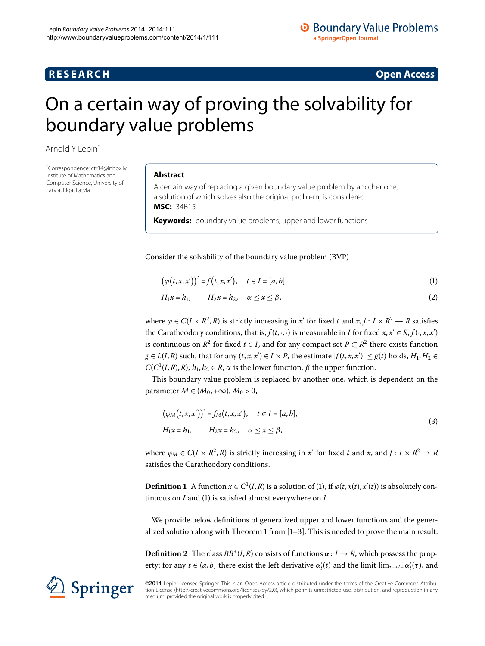## **R E S E A R C H Open Access**

# <span id="page-0-0"></span>On a certain way of proving the solvability for boundary value problems

Arnold Y Lepi[n\\*](#page-0-0)

\* Correspondence: [ctr34@inbox.lv](mailto:ctr34@inbox.lv) Institute of Mathematics and Computer Science, University of Latvia, Riga, Latvia

#### **Abstract**

A certain way of replacing a given boundary value problem by another one, a solution of which solves also the original problem, is considered. **MSC:** 34B15

<span id="page-0-1"></span>**Keywords:** boundary value problems; upper and lower functions

Consider the solvability of the boundary value problem (BVP)

<span id="page-0-2"></span>
$$
\big(\varphi\big(t,x,x'\big)\big)' = f\big(t,x,x'\big), \quad t \in I = [a,b],\tag{1}
$$

<span id="page-0-3"></span>
$$
H_1x = h_1, \qquad H_2x = h_2, \quad \alpha \le x \le \beta,
$$
\n<sup>(2)</sup>

where  $\varphi \in C(I \times R^2, R)$  is strictly increasing in  $x'$  for fixed  $t$  and  $x, f: I \times R^2 \to R$  satisfies the Caratheodory conditions, that is,  $f(t,\cdot,\cdot)$  is measurable in *I* for fixed  $x, x' \in R$ ,  $f(\cdot, x, x')$ is continuous on  $R^2$  for fixed  $t \in I$ , and for any compact set  $P \subset R^2$  there exists function  $g \in L(I,R)$  such, that for any  $(t, x, x') \in I \times P$ , the estimate  $|f(t, x, x')| \leq g(t)$  holds,  $H_1, H_2 \in I$  $C(C^1(I, R), R)$ ,  $h_1, h_2 \in R$ ,  $\alpha$  is the lower function,  $\beta$  the upper function.

This boundary value problem is replaced by another one, which is dependent on the parameter  $M \in (M_0, +\infty)$ ,  $M_0 > 0$ ,

$$
(\varphi_M(t, x, x'))' = f_M(t, x, x'), \quad t \in I = [a, b],
$$
  
\n
$$
H_1 x = h_1, \qquad H_2 x = h_2, \quad \alpha \le x \le \beta,
$$
\n(3)

where  $\varphi_M \in C(I \times R^2, R)$  is strictly increasing in  $x'$  for fixed  $t$  and  $x$ , and  $f: I \times R^2 \to R$ satisfies the Caratheodory conditions.

**Definition 1** A function  $x \in C^1(I, R)$  $x \in C^1(I, R)$  is a solution of (1), if  $\varphi(t, x(t), x'(t))$  is absolutely continuous on *I* and [\(](#page-0-1)1) is satisfied almost everywhere on *I*.

We provide below definitions of generalized upper and lower functions and the generalized solution along with Theorem 1 from  $[1-3]$  $[1-3]$ . This is needed to prove the main result.

**Definition 2** The class  $BB^+(I,R)$  consists of functions  $\alpha: I \rightarrow R$ , which possess the property: for any  $t \in (a, b]$  there exist the left derivative  $\alpha_l'(t)$  and the limit  $\lim_{\tau \to t-} \alpha_l'(\tau)$ , and

©2014 Lepin; licensee Springer. This is an Open Access article distributed under the terms of the Creative Commons Attribution License ([http://creativecommons.org/licenses/by/2.0\)](http://creativecommons.org/licenses/by/2.0), which permits unrestricted use, distribution, and reproduction in any medium, provided the original work is properly cited.

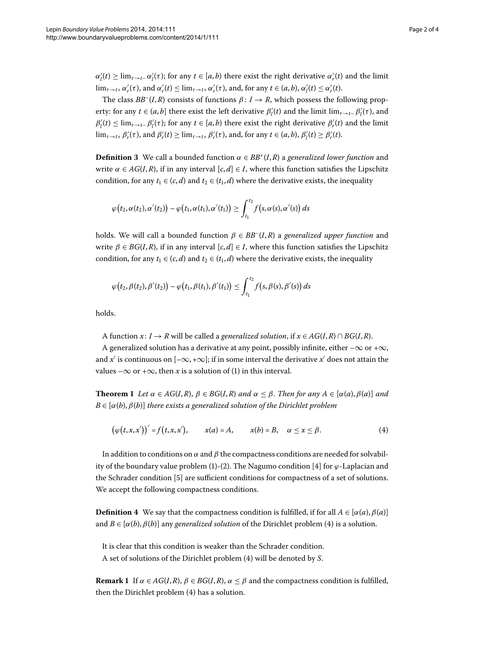$\alpha'_l(t) \ge \lim_{\tau \to t^-} \alpha'_l(\tau)$ ; for any  $t \in [a, b)$  there exist the right derivative  $\alpha'_r(t)$  and the limit  $\lim_{\tau \to t+} \alpha'_r(\tau)$ , and  $\alpha'_r(t) \leq \lim_{\tau \to t+} \alpha'_r(\tau)$ , and, for any  $t \in (a, b)$ ,  $\alpha'_l(t) \leq \alpha'_r(t)$ .

The class  $BB^{-}(I,R)$  consists of functions  $\beta: I \to R$ , which possess the following property: for any  $t \in (a, b]$  there exist the left derivative  $\beta'_l(t)$  and the limit  $\lim_{\tau \to t-} \beta'_l(\tau)$ , and  $\beta'_l(t) \leq \lim_{\tau \to t^-} \beta'_l(\tau)$ ; for any  $t \in [a, b)$  there exist the right derivative  $\beta'_r(t)$  and the limit  $\lim_{\tau \to t+} \beta'_r(\tau)$ , and  $\beta'_r(t) \ge \lim_{\tau \to t+} \beta'_r(\tau)$ , and, for any  $t \in (a, b)$ ,  $\beta'_l(t) \ge \beta'_r(t)$ .

**Definition 3** We call a bounded function  $\alpha \in BB^+(I,R)$  a *generalized lower function* and write  $\alpha \in AG(I, R)$ , if in any interval  $[c, d] \in I$ , where this function satisfies the Lipschitz condition, for any  $t_1 \in (c, d)$  and  $t_2 \in (t_1, d)$  where the derivative exists, the inequality

$$
\varphi(t_2,\alpha(t_2),\alpha'(t_2)) - \varphi(t_1,\alpha(t_1),\alpha'(t_1)) \geq \int_{t_1}^{t_2} f(s,\alpha(s),\alpha'(s)) ds
$$

holds. We will call a bounded function *β* ∈ *BB*–(*I*,*R*) a *generalized upper function* and write  $\beta \in BG(I, R)$ , if in any interval  $[c, d] \in I$ , where this function satisfies the Lipschitz condition, for any  $t_1 \in (c, d)$  and  $t_2 \in (t_1, d)$  where the derivative exists, the inequality

$$
\varphi\bigl(t_2, \beta(t_2), \beta'(t_2)\bigr) - \varphi\bigl(t_1, \beta(t_1), \beta'(t_1)\bigr) \le \int_{t_1}^{t_2} f\bigl(s, \beta(s), \beta'(s)\bigr) ds
$$

<span id="page-1-0"></span>holds.

<span id="page-1-1"></span>A function  $x: I \to R$  will be called a *generalized solution*, if  $x \in AG(I, R) \cap BG(I, R)$ .

A generalized solution has a derivative at any point, possibly infinite, either  $-\infty$  or  $+\infty$ , and  $x'$  is continuous on  $[-\infty, +\infty]$ ; if in some interval the derivative  $x'$  does not attain the values – $\infty$  or + $\infty$ , then *x* is a solution of (1[\)](#page-0-1) in this interval.

**Theorem 1** Let  $\alpha \in AG(I, R)$ ,  $\beta \in BG(I, R)$  and  $\alpha \leq \beta$ . Then for any  $A \in [\alpha(a), \beta(a)]$  and  $B \in [\alpha(b), \beta(b)]$  *there exists a generalized solution of the Dirichlet problem* 

$$
(\varphi(t,x,x'))' = f(t,x,x'), \qquad x(a) = A, \qquad x(b) = B, \quad \alpha \leq x \leq \beta.
$$
 (4)

<span id="page-1-2"></span>In addition to conditions on  $\alpha$  and  $\beta$  the compactness conditions are needed for solvabil-ity of the boundary value problem (1[\)](#page-0-2)-(2). The Nagumo condition [4] for  $\varphi$ -Laplacian and the Schrader condition [5] are sufficient conditions for compactness of a set of solutions. We accept the following compactness conditions.

**Definition 4** We say that the compactness condition is fulfilled, if for all  $A \in [\alpha(a), \beta(a)]$ and  $B \in [\alpha(b), \beta(b)]$  $B \in [\alpha(b), \beta(b)]$  $B \in [\alpha(b), \beta(b)]$  any *generalized solution* of the Dirichlet problem (4) is a solution.

It is clear that this condition is weaker than the Schrader condition. A set of solutions of the Dirichlet problem (4) will be denoted by *S*.

**Remark 1** If  $\alpha \in AG(I, R)$ ,  $\beta \in BG(I, R)$ ,  $\alpha \leq \beta$  and the compactness condition is fulfilled, then the Dirichlet problem  $(4)$  has a solution.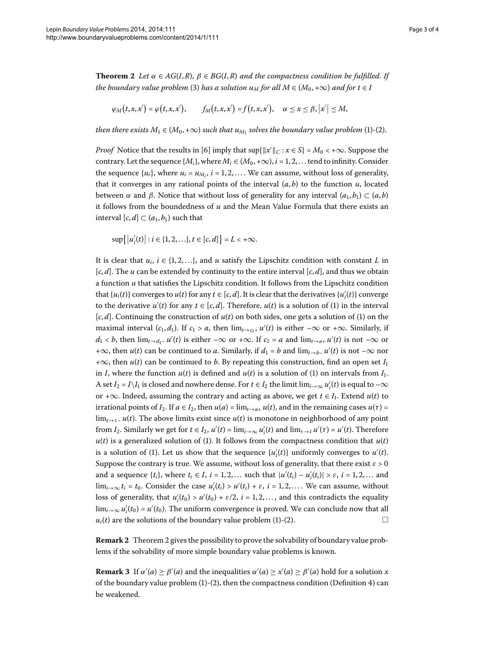<span id="page-2-0"></span>**Theorem 2** Let  $\alpha \in AG(I, R)$ ,  $\beta \in BG(I, R)$  and the compactness condition be fulfilled. If *the boundary value problem* (3[\)](#page-0-3) *has a solution*  $u_M$  *for all*  $M \in (M_0, +\infty)$  *and for*  $t \in I$ 

$$
\varphi_M(t,x,x') = \varphi(t,x,x'), \qquad f_M(t,x,x') = f(t,x,x'), \quad \alpha \leq x \leq \beta, |x'| \leq M,
$$

*then there exists*  $M_1 \in (M_0, +\infty)$  $M_1 \in (M_0, +\infty)$  *such that*  $u_{M_1}$  *solves the boundary value problem* (1)-(2).

*Proof* Notice that the results in [6] imply that  $\sup\{\|x'\|_C : x \in S\} = M_0 < +\infty$ . Suppose the contrary. Let the sequence  $\{M_i\}$ , where  $M_i \in (M_0, +\infty)$ ,  $i = 1, 2, \dots$  tend to infinity. Consider the sequence  $\{u_i\}$ , where  $u_i = u_{M_i}$ ,  $i = 1, 2, \ldots$ . We can assume, without loss of generality, that it converges in any rational points of the interval  $(a, b)$  to the function  $u$ , located between *α* and *β*. Notice that without loss of generality for any interval  $(a_1, b_1) \subset (a, b)$ it follows from the boundedness of *u* and the Mean Value Formula that there exists an interval  $[c, d] \subset (a_1, b_1)$  such that

$$
\sup\{|u'_i(t)| : i \in \{1, 2, \ldots\}, t \in [c, d]\} = L < +\infty.
$$

It is clear that  $u_i$ ,  $i \in \{1, 2, ...\}$ , and *u* satisfy the Lipschitz condition with constant *L* in  $[c, d]$ . The *u* can be extended by continuity to the entire interval  $[c, d]$ , and thus we obtain a function *u* that satisfies the Lipschitz condition. It follows from the Lipschitz condition that  $\{u_i(t)\}$  converges to  $u(t)$  for any  $t \in [c, d]$ . It is clear that the derivatives  $\{u'_i(t)\}$  converge to the derivative  $u'(t)$  $u'(t)$  $u'(t)$  for any  $t \in [c, d]$ . Therefore,  $u(t)$  is a solution of (1) in the interval  $[c, d]$ . Continuing the construction of  $u(t)$  on both sides, one gets a solution of (1) on the maximal interval  $(c_1, d_1)$ . If  $c_1 > a$ , then  $\lim_{t \to c_1+} u'(t)$  is either  $-\infty$  or  $+\infty$ . Similarly, if *d*<sub>1</sub> < *b*, then  $\lim_{t\to d_1^-} u'(t)$  is either –∞ or +∞. If *c*<sub>1</sub> = *a* and  $\lim_{t\to a_+} u'(t)$  is not –∞ or +∞, then *u*(*t*) can be continued to *a*. Similarly, if  $d_1 = b$  and  $\lim_{t \to b^-} u'(t)$  is not  $-\infty$  nor +∞, then *u*(*t*) can be continued to *b*. By repeating this construction, find an open set *I* in *I*, where the function  $u(t)$  $u(t)$  is defined and  $u(t)$  is a solution of (1) on intervals from  $I_1$ . A set  $I_2 = I \setminus I_1$  is closed and nowhere dense. For  $t \in I_2$  the limit  $\lim_{i\to\infty} u_i'(t)$  is equal to  $-\infty$ or +∞. Indeed, assuming the contrary and acting as above, we get  $t \in I_1$ . Extend  $u(t)$  to irrational points of *I*<sub>2</sub>. If  $a \in I_2$ , then  $u(a) = \lim_{t \to a^+} u(t)$ , and in the remaining cases  $u(\tau) =$  $\lim_{t\to\tau^-} u(t)$ . The above limits exist since  $u(t)$  is monotone in neighborhood of any point from *I*<sub>2</sub>. Similarly we get for  $t \in I_2$ ,  $u'(t) = \lim_{i \to \infty} u'_i(t)$  and  $\lim_{\tau \to t} u'(\tau) = u'(t)$ . Therefore  $u(t)$  $u(t)$  is a generalized solution of (1). It follows from the compactness condition that  $u(t)$ is a solution of [\(](#page-0-1)1). Let us show that the sequence  $\{u_i'(t)\}$  uniformly converges to  $u'(t)$ . Suppose the contrary is true. We assume, without loss of generality, that there exist  $\varepsilon > 0$ and a sequence  $\{t_i\}$ , where  $t_i \in I$ ,  $i = 1, 2, \ldots$  such that  $|u'(t_i) - u'_i(t_i)| > \varepsilon$ ,  $i = 1, 2, \ldots$  and  $\lim_{i\to\infty} t_i = t_0$ . Consider the case  $u'_i(t_i) > u'(t_i) + \varepsilon$ ,  $i = 1, 2, \ldots$ . We can assume, without loss of generality, that  $u'_i(t_0) > u'(t_0) + \varepsilon/2$ ,  $i = 1, 2, ...,$  and this contradicts the equality  $\lim_{i\to\infty} u_i'(t_0) = u'(t_0)$ . The uniform convergence is proved. We can conclude now that all  $u_i(t)$  $u_i(t)$  $u_i(t)$  are the solutions of the boundary value problem  $(1)-(2)$ .  $\Box$ 

**Remark 2** Theorem 2 gives the possibility to prove the solvability of boundary value problems if the solvability of more simple boundary value problems is known.

**Remark 3** If  $\alpha'(a) \ge \beta'(a)$  and the inequalities  $\alpha'(a) \ge \alpha'(a) \ge \beta'(a)$  hold for a solution *x* of the boundary value problem  $(1)-(2)$  $(1)-(2)$  $(1)-(2)$  $(1)-(2)$ , then the compactness condition (Definition 4) can be weakened.